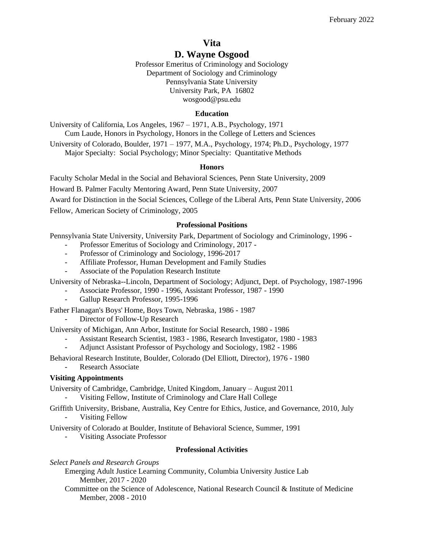# **Vita**

# **D. Wayne Osgood**

Professor Emeritus of Criminology and Sociology Department of Sociology and Criminology Pennsylvania State University University Park, PA 16802 wosgood@psu.edu

## **Education**

University of California, Los Angeles, 1967 – 1971, A.B., Psychology, 1971 Cum Laude, Honors in Psychology, Honors in the College of Letters and Sciences

University of Colorado, Boulder, 1971 – 1977, M.A., Psychology, 1974; Ph.D., Psychology, 1977 Major Specialty: Social Psychology; Minor Specialty: Quantitative Methods

## **Honors**

Faculty Scholar Medal in the Social and Behavioral Sciences, Penn State University, 2009 Howard B. Palmer Faculty Mentoring Award, Penn State University, 2007 Award for Distinction in the Social Sciences, College of the Liberal Arts, Penn State University, 2006

Fellow, American Society of Criminology, 2005

## **Professional Positions**

Pennsylvania State University, University Park, Department of Sociology and Criminology, 1996 -

- Professor Emeritus of Sociology and Criminology, 2017 -
- Professor of Criminology and Sociology, 1996-2017
- Affiliate Professor, Human Development and Family Studies
- Associate of the Population Research Institute

University of Nebraska--Lincoln, Department of Sociology; Adjunct, Dept. of Psychology, 1987-1996

- Associate Professor, 1990 1996, Assistant Professor, 1987 1990
- Gallup Research Professor, 1995-1996

Father Flanagan's Boys' Home, Boys Town, Nebraska, 1986 - 1987

Director of Follow-Up Research

University of Michigan, Ann Arbor, Institute for Social Research, 1980 - 1986

- Assistant Research Scientist, 1983 1986, Research Investigator, 1980 1983
- Adjunct Assistant Professor of Psychology and Sociology, 1982 1986

Behavioral Research Institute, Boulder, Colorado (Del Elliott, Director), 1976 - 1980

Research Associate

# **Visiting Appointments**

University of Cambridge, Cambridge, United Kingdom, January – August 2011

- Visiting Fellow, Institute of Criminology and Clare Hall College

- Griffith University, Brisbane, Australia, Key Centre for Ethics, Justice, and Governance, 2010, July
	- Visiting Fellow

University of Colorado at Boulder, Institute of Behavioral Science, Summer, 1991

- Visiting Associate Professor

# **Professional Activities**

*Select Panels and Research Groups*

Emerging Adult Justice Learning Community, Columbia University Justice Lab Member, 2017 - 2020

Committee on the Science of Adolescence, National Research Council & Institute of Medicine Member, 2008 - 2010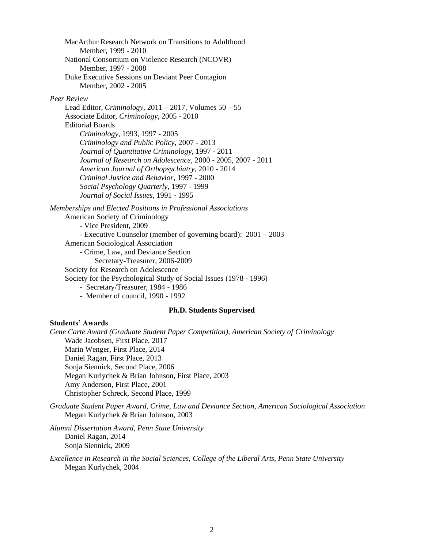MacArthur Research Network on Transitions to Adulthood Member, 1999 - 2010 National Consortium on Violence Research (NCOVR) Member, 1997 - 2008 Duke Executive Sessions on Deviant Peer Contagion Member, 2002 - 2005

#### *Peer Review*

Lead Editor, *Criminology*, 2011 – 2017, Volumes 50 – 55 Associate Editor, *Criminology*, 2005 - 2010 Editorial Boards *Criminology*, 1993, 1997 - 2005 *Criminology and Public Policy*, 2007 - 2013 *Journal of Quantitative Criminology*, 1997 - 2011 *Journal of Research on Adolescence*, 2000 - 2005, 2007 - 2011 *American Journal of Orthopsychiatry*, 2010 - 2014 *Criminal Justice and Behavior*, 1997 - 2000 *Social Psychology Quarterly*, 1997 - 1999 *Journal of Social Issues*, 1991 - 1995

*Memberships and Elected Positions in Professional Associations*

American Society of Criminology - Vice President, 2009 - Executive Counselor (member of governing board): 2001 – 2003 American Sociological Association - Crime, Law, and Deviance Section Secretary-Treasurer, 2006-2009 Society for Research on Adolescence Society for the Psychological Study of Social Issues (1978 - 1996) - Secretary/Treasurer, 1984 - 1986 - Member of council, 1990 - 1992

## **Ph.D. Students Supervised**

#### **Students' Awards**

*Gene Carte Award (Graduate Student Paper Competition), American Society of Criminology* Wade Jacobsen, First Place, 2017 Marin Wenger, First Place, 2014 Daniel Ragan, First Place, 2013 Sonja Siennick, Second Place, 2006 Megan Kurlychek & Brian Johnson, First Place, 2003 Amy Anderson, First Place, 2001 Christopher Schreck, Second Place, 1999

*Graduate Student Paper Award, Crime, Law and Deviance Section, American Sociological Association* Megan Kurlychek & Brian Johnson, 2003

*Alumni Dissertation Award, Penn State University* Daniel Ragan, 2014 Sonja Siennick, 2009

*Excellence in Research in the Social Sciences, College of the Liberal Arts, Penn State University* Megan Kurlychek, 2004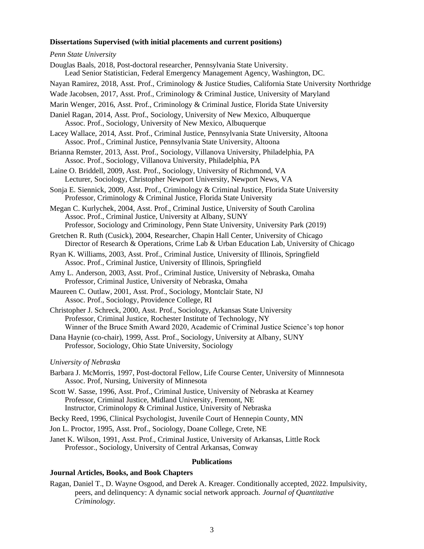#### **Dissertations Supervised (with initial placements and current positions)**

#### *Penn State University*

| Penn State University                                                                                                                                                                                                                           |
|-------------------------------------------------------------------------------------------------------------------------------------------------------------------------------------------------------------------------------------------------|
| Douglas Baals, 2018, Post-doctoral researcher, Pennsylvania State University.<br>Lead Senior Statistician, Federal Emergency Management Agency, Washington, DC.                                                                                 |
| Nayan Ramirez, 2018, Asst. Prof., Criminology & Justice Studies, California State University Northridge                                                                                                                                         |
| Wade Jacobsen, 2017, Asst. Prof., Criminology & Criminal Justice, University of Maryland                                                                                                                                                        |
| Marin Wenger, 2016, Asst. Prof., Criminology & Criminal Justice, Florida State University                                                                                                                                                       |
| Daniel Ragan, 2014, Asst. Prof., Sociology, University of New Mexico, Albuquerque<br>Assoc. Prof., Sociology, University of New Mexico, Albuquerque                                                                                             |
| Lacey Wallace, 2014, Asst. Prof., Criminal Justice, Pennsylvania State University, Altoona<br>Assoc. Prof., Criminal Justice, Pennsylvania State University, Altoona                                                                            |
| Brianna Remster, 2013, Asst. Prof., Sociology, Villanova University, Philadelphia, PA<br>Assoc. Prof., Sociology, Villanova University, Philadelphia, PA                                                                                        |
| Laine O. Briddell, 2009, Asst. Prof., Sociology, University of Richmond, VA<br>Lecturer, Sociology, Christopher Newport University, Newport News, VA                                                                                            |
| Sonja E. Siennick, 2009, Asst. Prof., Criminology & Criminal Justice, Florida State University<br>Professor, Criminology & Criminal Justice, Florida State University                                                                           |
| Megan C. Kurlychek, 2004, Asst. Prof., Criminal Justice, University of South Carolina<br>Assoc. Prof., Criminal Justice, University at Albany, SUNY<br>Professor, Sociology and Criminology, Penn State University, University Park (2019)      |
| Gretchen R. Ruth (Cusick), 2004, Researcher, Chapin Hall Center, University of Chicago<br>Director of Research & Operations, Crime Lab & Urban Education Lab, University of Chicago                                                             |
| Ryan K. Williams, 2003, Asst. Prof., Criminal Justice, University of Illinois, Springfield<br>Assoc. Prof., Criminal Justice, University of Illinois, Springfield                                                                               |
| Amy L. Anderson, 2003, Asst. Prof., Criminal Justice, University of Nebraska, Omaha<br>Professor, Criminal Justice, University of Nebraska, Omaha                                                                                               |
| Maureen C. Outlaw, 2001, Asst. Prof., Sociology, Montclair State, NJ<br>Assoc. Prof., Sociology, Providence College, RI                                                                                                                         |
| Christopher J. Schreck, 2000, Asst. Prof., Sociology, Arkansas State University<br>Professor, Criminal Justice, Rochester Institute of Technology, NY<br>Winner of the Bruce Smith Award 2020, Academic of Criminal Justice Science's top honor |
| Dana Haynie (co-chair), 1999, Asst. Prof., Sociology, University at Albany, SUNY<br>Professor, Sociology, Ohio State University, Sociology                                                                                                      |
| University of Nebraska                                                                                                                                                                                                                          |
| Barbara J. McMorris, 1997, Post-doctoral Fellow, Life Course Center, University of Minnnesota<br>Assoc. Prof, Nursing, University of Minnesota                                                                                                  |
|                                                                                                                                                                                                                                                 |

Scott W. Sasse, 1996, Asst. Prof., Criminal Justice, University of Nebraska at Kearney Professor, Criminal Justice, Midland University, Fremont, NE Instructor, Criminolopy & Criminal Justice, University of Nebraska

Becky Reed, 1996, Clinical Psychologist, Juvenile Court of Hennepin County, MN

Jon L. Proctor, 1995, Asst. Prof., Sociology, Doane College, Crete, NE

Janet K. Wilson, 1991, Asst. Prof., Criminal Justice, University of Arkansas, Little Rock Professor., Sociology, University of Central Arkansas, Conway

#### **Publications**

## **Journal Articles, Books, and Book Chapters**

Ragan, Daniel T., D. Wayne Osgood, and Derek A. Kreager. Conditionally accepted, 2022. Impulsivity, peers, and delinquency: A dynamic social network approach. *Journal of Quantitative Criminology*.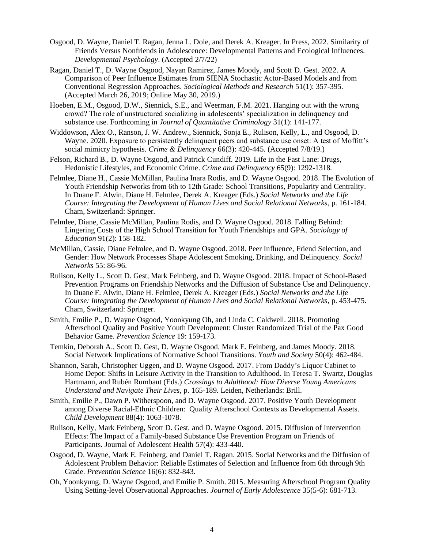- Osgood, D. Wayne, Daniel T. Ragan, Jenna L. Dole, and Derek A. Kreager. In Press, 2022. Similarity of Friends Versus Nonfriends in Adolescence: Developmental Patterns and Ecological Influences. *Developmental Psychology*. (Accepted 2/7/22)
- Ragan, Daniel T., D. Wayne Osgood, Nayan Ramirez, James Moody, and Scott D. Gest. 2022. A Comparison of Peer Influence Estimates from SIENA Stochastic Actor-Based Models and from Conventional Regression Approaches. *Sociological Methods and Research* 51(1): 357-395. (Accepted March 26, 2019; Online May 30, 2019.)
- Hoeben, E.M., Osgood, D.W., Siennick, S.E., and Weerman, F.M. 2021. Hanging out with the wrong crowd? The role of unstructured socializing in adolescents' specialization in delinquency and substance use. Forthcoming in *Journal of Quantitative Criminology* 31(1): 141-177.
- Widdowson, Alex O., Ranson, J. W. Andrew., Siennick, Sonja E., Rulison, Kelly, L., and Osgood, D. Wayne. 2020. Exposure to persistently delinquent peers and substance use onset: A test of Moffitt's social mimicry hypothesis. *Crime & Delinquency* 66(3): 420-445. (Accepted 7/8/19.)
- Felson, Richard B., D. Wayne Osgood, and Patrick Cundiff. 2019. Life in the Fast Lane: Drugs, Hedonistic Lifestyles, and Economic Crime. *Crime and Delinquency* 65(9): 1292-1318*.*
- Felmlee, Diane H., Cassie McMillan, Paulina Inara Rodis, and D. Wayne Osgood. 2018. The Evolution of Youth Friendship Networks from 6th to 12th Grade: School Transitions, Popularity and Centrality. In Duane F. Alwin, Diane H. Felmlee, Derek A. Kreager (Eds.) *Social Networks and the Life Course: Integrating the Development of Human Lives and Social Relational Networks,* p. 161-184. Cham, Switzerland: Springer.
- Felmlee, Diane, Cassie McMillan, Paulina Rodis, and D. Wayne Osgood. 2018. Falling Behind: Lingering Costs of the High School Transition for Youth Friendships and GPA. *Sociology of Education* 91(2): 158-182.
- McMillan, Cassie, Diane Felmlee, and D. Wayne Osgood. 2018. Peer Influence, Friend Selection, and Gender: How Network Processes Shape Adolescent Smoking, Drinking, and Delinquency. *Social Networks* 55: 86-96.
- Rulison, Kelly L., Scott D. Gest, Mark Feinberg, and D. Wayne Osgood. 2018. Impact of School-Based Prevention Programs on Friendship Networks and the Diffusion of Substance Use and Delinquency. In Duane F. Alwin, Diane H. Felmlee, Derek A. Kreager (Eds.) *Social Networks and the Life Course: Integrating the Development of Human Lives and Social Relational Networks,* p. 453-475. Cham, Switzerland: Springer.
- Smith, Emilie P., D. Wayne Osgood, Yoonkyung Oh, and Linda C. Caldwell. 2018. Promoting Afterschool Quality and Positive Youth Development: Cluster Randomized Trial of the Pax Good Behavior Game. *Prevention Science* 19: 159-173*.*
- Temkin, Deborah A., Scott D. Gest, D. Wayne Osgood, Mark E. Feinberg, and James Moody. 2018. Social Network Implications of Normative School Transitions. *Youth and Society* 50(4): 462-484.
- Shannon, Sarah, Christopher Uggen, and D. Wayne Osgood. 2017. From Daddy's Liquor Cabinet to Home Depot: Shifts in Leisure Activity in the Transition to Adulthood. In Teresa T. Swartz, Douglas Hartmann, and Rubén Rumbaut (Eds.) *Crossings to Adulthood: How Diverse Young Americans Understand and Navigate Their Lives*, p. 165-189. Leiden, Netherlands: Brill.
- Smith, Emilie P., Dawn P. Witherspoon, and D. Wayne Osgood. 2017. Positive Youth Development among Diverse Racial-Ethnic Children: Quality Afterschool Contexts as Developmental Assets. *Child Development* 88(4): 1063-1078.
- Rulison, Kelly, Mark Feinberg, Scott D. Gest, and D. Wayne Osgood. 2015. Diffusion of Intervention Effects: The Impact of a Family-based Substance Use Prevention Program on Friends of Participants. Journal of Adolescent Health 57(4): 433-440.
- Osgood, D. Wayne, Mark E. Feinberg, and Daniel T. Ragan. 2015. Social Networks and the Diffusion of Adolescent Problem Behavior: Reliable Estimates of Selection and Influence from 6th through 9th Grade. *Prevention Science* 16(6): 832-843*.*
- Oh, Yoonkyung, D. Wayne Osgood, and Emilie P. Smith. 2015. Measuring Afterschool Program Quality Using Setting-level Observational Approaches. *Journal of Early Adolescence* 35(5-6): 681-713.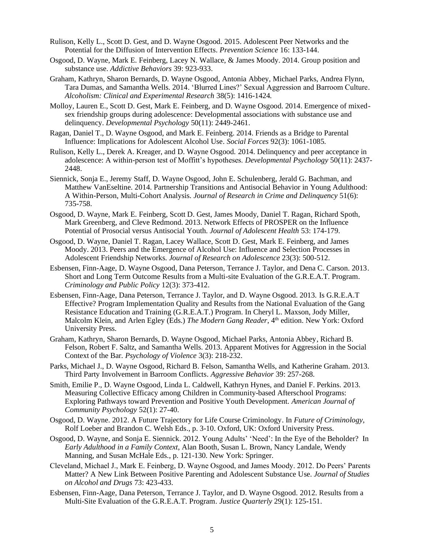- Rulison, Kelly L., Scott D. Gest, and D. Wayne Osgood. 2015. Adolescent Peer Networks and the Potential for the Diffusion of Intervention Effects. *Prevention Science* 16: 133-144.
- Osgood, D. Wayne, Mark E. Feinberg, Lacey N. Wallace, & James Moody. 2014. Group position and substance use. *Addictive Behaviors* 39: 923-933.
- Graham, Kathryn, Sharon Bernards, D. Wayne Osgood, Antonia Abbey, Michael Parks, Andrea Flynn, Tara Dumas, and Samantha Wells. 2014. 'Blurred Lines?' Sexual Aggression and Barroom Culture. *Alcoholism: Clinical and Experimental Research* 38(5): 1416-1424*.*
- Molloy, Lauren E., Scott D. Gest, Mark E. Feinberg, and D. Wayne Osgood. 2014. Emergence of mixedsex friendship groups during adolescence: Developmental associations with substance use and delinquency. *Developmental Psychology* 50(11): 2449-2461.
- Ragan, Daniel T., D. Wayne Osgood, and Mark E. Feinberg. 2014. Friends as a Bridge to Parental Influence: Implications for Adolescent Alcohol Use. *Social Forces* 92(3): 1061-1085.
- Rulison, Kelly L., Derek A. Kreager, and D. Wayne Osgood. 2014. Delinquency and peer acceptance in adolescence: A within-person test of Moffitt's hypotheses. *Developmental Psychology* 50(11): 2437- 2448.
- Siennick, Sonja E., Jeremy Staff, D. Wayne Osgood, John E. Schulenberg, Jerald G. Bachman, and Matthew VanEseltine. 2014. Partnership Transitions and Antisocial Behavior in Young Adulthood: A Within-Person, Multi-Cohort Analysis. *Journal of Research in Crime and Delinquency* 51(6): 735-758.
- Osgood, D. Wayne, Mark E. Feinberg, Scott D. Gest, James Moody, Daniel T. Ragan, Richard Spoth, Mark Greenberg, and Cleve Redmond. 2013. Network Effects of PROSPER on the Influence Potential of Prosocial versus Antisocial Youth. *Journal of Adolescent Health* 53: 174-179.
- Osgood, D. Wayne, Daniel T. Ragan, Lacey Wallace, Scott D. Gest, Mark E. Feinberg, and James Moody. 2013. Peers and the Emergence of Alcohol Use: Influence and Selection Processes in Adolescent Friendship Networks. *Journal of Research on Adolescence* 23(3): 500-512.
- Esbensen, Finn-Aage, D. Wayne Osgood, Dana Peterson, Terrance J. Taylor, and Dena C. Carson. 2013. Short and Long Term Outcome Results from a Multi-site Evaluation of the G.R.E.A.T. Program. *Criminology and Public Policy* 12(3): 373-412.
- Esbensen, Finn-Aage, Dana Peterson, Terrance J. Taylor, and D. Wayne Osgood. 2013. Is G.R.E.A.T Effective? Program Implementation Quality and Results from the National Evaluation of the Gang Resistance Education and Training (G.R.E.A.T.) Program. In Cheryl L. Maxson, Jody Miller, Malcolm Klein, and Arlen Egley (Eds.) *The Modern Gang Reader*, 4<sup>th</sup> edition. New York: Oxford University Press.
- Graham, Kathryn, Sharon Bernards, D. Wayne Osgood, Michael Parks, Antonia Abbey, Richard B. Felson, Robert F. Saltz, and Samantha Wells. 2013. Apparent Motives for Aggression in the Social Context of the Bar. *Psychology of Violence* 3(3): 218-232.
- Parks, Michael J., D. Wayne Osgood, Richard B. Felson, Samantha Wells, and Katherine Graham. 2013. Third Party Involvement in Barroom Conflicts. *Aggressive Behavior* 39: 257-268.
- Smith, Emilie P., D. Wayne Osgood, Linda L. Caldwell, Kathryn Hynes, and Daniel F. Perkins. 2013. Measuring Collective Efficacy among Children in Community-based Afterschool Programs: Exploring Pathways toward Prevention and Positive Youth Development. *American Journal of Community Psychology* 52(1): 27-40.
- Osgood, D. Wayne. 2012. A Future Trajectory for Life Course Criminology. In *Future of Criminology*, Rolf Loeber and Brandon C. Welsh Eds., p. 3-10. Oxford, UK: Oxford University Press.
- Osgood, D. Wayne, and Sonja E. Siennick. 2012. Young Adults' 'Need': In the Eye of the Beholder? In *Early Adulthood in a Family Context*, Alan Booth, Susan L. Brown, Nancy Landale, Wendy Manning, and Susan McHale Eds., p. 121-130. New York: Springer.
- Cleveland, Michael J., Mark E. Feinberg, D. Wayne Osgood, and James Moody. 2012. Do Peers' Parents Matter? A New Link Between Positive Parenting and Adolescent Substance Use. *Journal of Studies on Alcohol and Drugs* 73: 423-433.
- Esbensen, Finn-Aage, Dana Peterson, Terrance J. Taylor, and D. Wayne Osgood. 2012. Results from a Multi-Site Evaluation of the G.R.E.A.T. Program. *Justice Quarterly* 29(1): 125-151.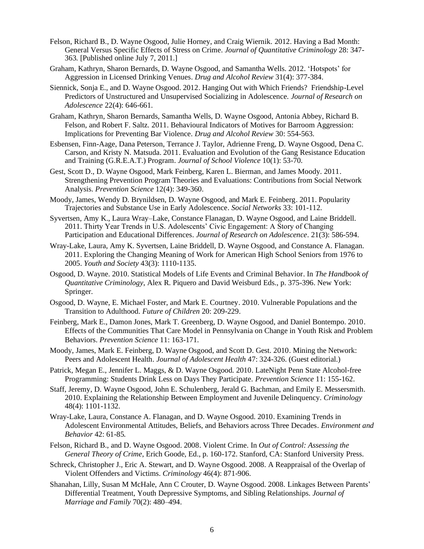- Felson, Richard B., D. Wayne Osgood, Julie Horney, and Craig Wiernik. 2012. Having a Bad Month: General Versus Specific Effects of Stress on Crime. *Journal of Quantitative Criminology* 28: 347- 363*.* [Published online July 7, 2011.]
- Graham, Kathryn, Sharon Bernards, D. Wayne Osgood, and Samantha Wells. 2012. 'Hotspots' for Aggression in Licensed Drinking Venues. *Drug and Alcohol Review* 31(4): 377-384.
- Siennick, Sonja E., and D. Wayne Osgood. 2012. Hanging Out with Which Friends? Friendship-Level Predictors of Unstructured and Unsupervised Socializing in Adolescence. *Journal of Research on Adolescence* 22(4): 646-661.
- Graham, Kathryn, Sharon Bernards, Samantha Wells, D. Wayne Osgood, Antonia Abbey, Richard B. Felson, and Robert F. Saltz. 2011. Behavioural Indicators of Motives for Barroom Aggression: Implications for Preventing Bar Violence. *Drug and Alcohol Review* 30: 554-563.
- Esbensen, Finn-Aage, Dana Peterson, Terrance J. Taylor, Adrienne Freng, D. Wayne Osgood, Dena C. Carson, and Kristy N. Matsuda. 2011. Evaluation and Evolution of the Gang Resistance Education and Training (G.R.E.A.T.) Program. *Journal of School Violence* 10(1): 53-70.
- Gest, Scott D., D. Wayne Osgood, Mark Feinberg, Karen L. Bierman, and James Moody. 2011. Strengthening Prevention Program Theories and Evaluations: Contributions from Social Network Analysis. *Prevention Science* 12(4): 349-360.
- Moody, James, Wendy D. Brynildsen, D. Wayne Osgood, and Mark E. Feinberg. 2011. Popularity Trajectories and Substance Use in Early Adolescence. *Social Networks* 33: 101-112.
- Syvertsen, Amy K., Laura Wray–Lake, Constance Flanagan, D. Wayne Osgood, and Laine Briddell. 2011. Thirty Year Trends in U.S. Adolescents' Civic Engagement: A Story of Changing Participation and Educational Differences. *Journal of Research on Adolescence*. 21(3): 586-594.
- Wray-Lake, Laura, Amy K. Syvertsen, Laine Briddell, D. Wayne Osgood, and Constance A. Flanagan. 2011. Exploring the Changing Meaning of Work for American High School Seniors from 1976 to 2005. *Youth and Society* 43(3): 1110-1135.
- Osgood, D. Wayne. 2010. Statistical Models of Life Events and Criminal Behavior. In *The Handbook of Quantitative Criminology*, Alex R. Piquero and David Weisburd Eds., p. 375-396. New York: Springer.
- Osgood, D. Wayne, E. Michael Foster, and Mark E. Courtney. 2010. Vulnerable Populations and the Transition to Adulthood. *Future of Children* 20: 209-229.
- Feinberg, Mark E., Damon Jones, Mark T. Greenberg, D. Wayne Osgood, and Daniel Bontempo. 2010. Effects of the Communities That Care Model in Pennsylvania on Change in Youth Risk and Problem Behaviors. *Prevention Science* 11: 163-171.
- Moody, James, Mark E. Feinberg, D. Wayne Osgood, and Scott D. Gest. 2010. Mining the Network: Peers and Adolescent Health. *Journal of Adolescent Health* 47: 324-326. (Guest editorial.)
- Patrick, Megan E., Jennifer L. Maggs, & D. Wayne Osgood. 2010. LateNight Penn State Alcohol-free Programming: Students Drink Less on Days They Participate. *Prevention Science* 11: 155-162.
- Staff, Jeremy, D. Wayne Osgood, John E. Schulenberg, Jerald G. Bachman, and Emily E. Messersmith. 2010. Explaining the Relationship Between Employment and Juvenile Delinquency. *Criminology* 48(4): 1101-1132.
- Wray-Lake, Laura, Constance A. Flanagan, and D. Wayne Osgood. 2010. Examining Trends in Adolescent Environmental Attitudes, Beliefs, and Behaviors across Three Decades. *Environment and Behavior* 42: 61-85*.*
- Felson, Richard B., and D. Wayne Osgood. 2008. Violent Crime. In *Out of Control: Assessing the General Theory of Crime*, Erich Goode, Ed., p. 160-172. Stanford, CA: Stanford University Press.
- Schreck, Christopher J., Eric A. Stewart, and D. Wayne Osgood. 2008. A Reappraisal of the Overlap of Violent Offenders and Victims. *Criminology* 46(4): 871-906.
- Shanahan, Lilly, Susan M McHale, Ann C Crouter, D. Wayne Osgood. 2008. Linkages Between Parents' Differential Treatment, Youth Depressive Symptoms, and Sibling Relationships. *Journal of Marriage and Family* 70(2): 480–494.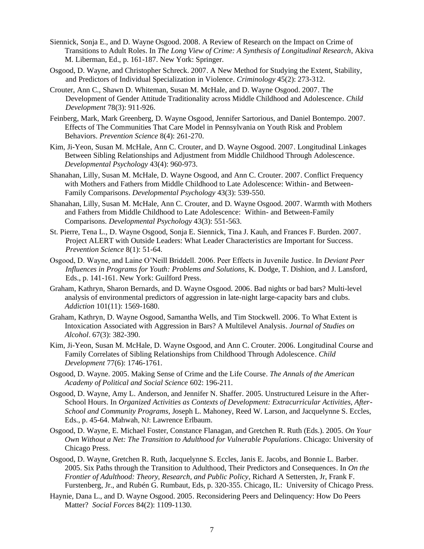- Siennick, Sonja E., and D. Wayne Osgood. 2008. A Review of Research on the Impact on Crime of Transitions to Adult Roles. In *The Long View of Crime: A Synthesis of Longitudinal Research*, Akiva M. Liberman, Ed., p. 161-187. New York: Springer.
- Osgood, D. Wayne, and Christopher Schreck. 2007. A New Method for Studying the Extent, Stability, and Predictors of Individual Specialization in Violence. *Criminology* 45(2): 273-312.
- Crouter, Ann C., Shawn D. Whiteman, Susan M. McHale, and D. Wayne Osgood. 2007. The Development of Gender Attitude Traditionality across Middle Childhood and Adolescence. *Child Development* 78(3): 911-926.
- Feinberg, Mark, Mark Greenberg, D. Wayne Osgood, Jennifer Sartorious, and Daniel Bontempo. 2007. Effects of The Communities That Care Model in Pennsylvania on Youth Risk and Problem Behaviors. *Prevention Science* 8(4): 261-270.
- Kim, Ji-Yeon, Susan M. McHale, Ann C. Crouter, and D. Wayne Osgood. 2007. Longitudinal Linkages Between Sibling Relationships and Adjustment from Middle Childhood Through Adolescence. *Developmental Psychology* 43(4): 960-973.
- Shanahan, Lilly, Susan M. McHale, D. Wayne Osgood, and Ann C. Crouter. 2007. Conflict Frequency with Mothers and Fathers from Middle Childhood to Late Adolescence: Within- and Between-Family Comparisons. *Developmental Psychology* 43(3): 539-550.
- Shanahan, Lilly, Susan M. McHale, Ann C. Crouter, and D. Wayne Osgood. 2007. Warmth with Mothers and Fathers from Middle Childhood to Late Adolescence: Within- and Between-Family Comparisons. *Developmental Psychology* 43(3): 551-563.
- St. Pierre, Tena L., D. Wayne Osgood, Sonja E. Siennick, Tina J. Kauh, and Frances F. Burden. 2007. Project ALERT with Outside Leaders: What Leader Characteristics are Important for Success. *Prevention Science* 8(1): 51-64.
- Osgood, D. Wayne, and Laine O'Neill Briddell. 2006. Peer Effects in Juvenile Justice. In *Deviant Peer Influences in Programs for Youth: Problems and Solutions*, K. Dodge, T. Dishion, and J. Lansford, Eds., p. 141-161. New York: Guilford Press.
- Graham, Kathryn, Sharon Bernards, and D. Wayne Osgood. 2006. Bad nights or bad bars? Multi-level analysis of environmental predictors of aggression in late-night large-capacity bars and clubs. *Addiction* 101(11): 1569-1680.
- Graham, Kathryn, D. Wayne Osgood, Samantha Wells, and Tim Stockwell. 2006. To What Extent is Intoxication Associated with Aggression in Bars? A Multilevel Analysis. *Journal of Studies on Alcohol*. 67(3): 382-390.
- Kim, Ji-Yeon, Susan M. McHale, D. Wayne Osgood, and Ann C. Crouter. 2006. Longitudinal Course and Family Correlates of Sibling Relationships from Childhood Through Adolescence. *Child Development* 77(6): 1746-1761.
- Osgood, D. Wayne. 2005. Making Sense of Crime and the Life Course. *The Annals of the American Academy of Political and Social Science* 602: 196-211.
- Osgood, D. Wayne, Amy L. Anderson, and Jennifer N. Shaffer. 2005. Unstructured Leisure in the After-School Hours. In *Organized Activities as Contexts of Development: Extracurricular Activities, After-School and Community Programs*, Joseph L. Mahoney, Reed W. Larson, and Jacquelynne S. Eccles, Eds., p. 45-64. Mahwah, NJ: Lawrence Erlbaum.
- Osgood, D. Wayne, E. Michael Foster, Constance Flanagan, and Gretchen R. Ruth (Eds.). 2005. *On Your Own Without a Net: The Transition to Adulthood for Vulnerable Populations*. Chicago: University of Chicago Press.
- Osgood, D. Wayne, Gretchen R. Ruth, Jacquelynne S. Eccles, Janis E. Jacobs, and Bonnie L. Barber. 2005. Six Paths through the Transition to Adulthood, Their Predictors and Consequences. In *On the Frontier of Adulthood: Theory, Research, and Public Policy*, Richard A Settersten, Jr, Frank F. Furstenberg, Jr., and Rubén G. Rumbaut, Eds, p. 320-355. Chicago, IL: University of Chicago Press.
- Haynie, Dana L., and D. Wayne Osgood. 2005. Reconsidering Peers and Delinquency: How Do Peers Matter? *Social Forces* 84(2): 1109-1130.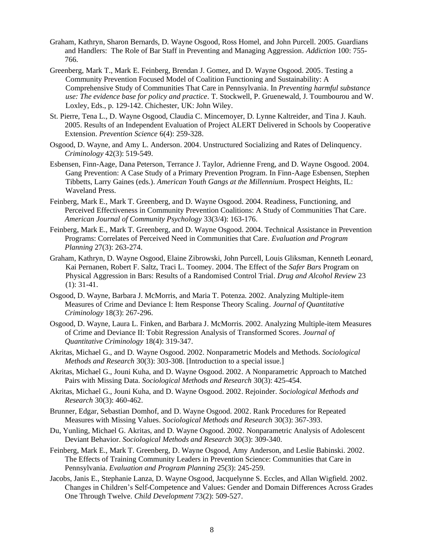- Graham, Kathryn, Sharon Bernards, D. Wayne Osgood, Ross Homel, and John Purcell. 2005. Guardians and Handlers: The Role of Bar Staff in Preventing and Managing Aggression. *Addiction* 100: 755- 766.
- Greenberg, Mark T., Mark E. Feinberg, Brendan J. Gomez, and D. Wayne Osgood. 2005. Testing a Community Prevention Focused Model of Coalition Functioning and Sustainability: A Comprehensive Study of Communities That Care in Pennsylvania. In *Preventing harmful substance use: The evidence base for policy and practice*. T. Stockwell, P. Gruenewald, J. Toumbourou and W. Loxley, Eds., p. 129-142. Chichester, UK: John Wiley.
- St. Pierre, Tena L., D. Wayne Osgood, Claudia C. Mincemoyer, D. Lynne Kaltreider, and Tina J. Kauh. 2005. Results of an Independent Evaluation of Project ALERT Delivered in Schools by Cooperative Extension. *Prevention Science* 6(4): 259-328.
- Osgood, D. Wayne, and Amy L. Anderson. 2004. Unstructured Socializing and Rates of Delinquency. *Criminology* 42(3): 519-549.
- Esbensen, Finn-Aage, Dana Peterson, Terrance J. Taylor, Adrienne Freng, and D. Wayne Osgood. 2004. Gang Prevention: A Case Study of a Primary Prevention Program. In Finn-Aage Esbensen, Stephen Tibbetts, Larry Gaines (eds.). *American Youth Gangs at the Millennium*. Prospect Heights, IL: Waveland Press.
- Feinberg, Mark E., Mark T. Greenberg, and D. Wayne Osgood. 2004. Readiness, Functioning, and Perceived Effectiveness in Community Prevention Coalitions: A Study of Communities That Care. *American Journal of Community Psychology* 33(3/4): 163-176.
- Feinberg, Mark E., Mark T. Greenberg, and D. Wayne Osgood. 2004. Technical Assistance in Prevention Programs: Correlates of Perceived Need in Communities that Care. *Evaluation and Program Planning* 27(3): 263-274.
- Graham, Kathryn, D. Wayne Osgood, Elaine Zibrowski, John Purcell, Louis Gliksman, Kenneth Leonard, Kai Pernanen, Robert F. Saltz, Traci L. Toomey. 2004. The Effect of the *Safer Bars* Program on Physical Aggression in Bars: Results of a Randomised Control Trial. *Drug and Alcohol Review* 23 (1): 31-41.
- Osgood, D. Wayne, Barbara J. McMorris, and Maria T. Potenza. 2002. Analyzing Multiple-item Measures of Crime and Deviance I: Item Response Theory Scaling. *Journal of Quantitative Criminology* 18(3): 267-296.
- Osgood, D. Wayne, Laura L. Finken, and Barbara J. McMorris. 2002. Analyzing Multiple-item Measures of Crime and Deviance II: Tobit Regression Analysis of Transformed Scores. *Journal of Quantitative Criminology* 18(4): 319-347.
- Akritas, Michael G., and D. Wayne Osgood. 2002. Nonparametric Models and Methods. *Sociological Methods and Research* 30(3): 303-308. [Introduction to a special issue.]
- Akritas, Michael G., Jouni Kuha, and D. Wayne Osgood. 2002. A Nonparametric Approach to Matched Pairs with Missing Data. *Sociological Methods and Research* 30(3): 425-454.
- Akritas, Michael G., Jouni Kuha, and D. Wayne Osgood. 2002. Rejoinder. *Sociological Methods and Research* 30(3): 460-462.
- Brunner, Edgar, Sebastian Domhof, and D. Wayne Osgood. 2002. Rank Procedures for Repeated Measures with Missing Values. *Sociological Methods and Research* 30(3): 367-393.
- Du, Yunling, Michael G. Akritas, and D. Wayne Osgood. 2002. Nonparametric Analysis of Adolescent Deviant Behavior. *Sociological Methods and Research* 30(3): 309-340.
- Feinberg, Mark E., Mark T. Greenberg, D. Wayne Osgood, Amy Anderson, and Leslie Babinski. 2002. The Effects of Training Community Leaders in Prevention Science: Communities that Care in Pennsylvania. *Evaluation and Program Planning* 25(3): 245-259.
- Jacobs, Janis E., Stephanie Lanza, D. Wayne Osgood, Jacquelynne S. Eccles, and Allan Wigfield. 2002. Changes in Children's Self-Competence and Values: Gender and Domain Differences Across Grades One Through Twelve. *Child Development* 73(2): 509-527.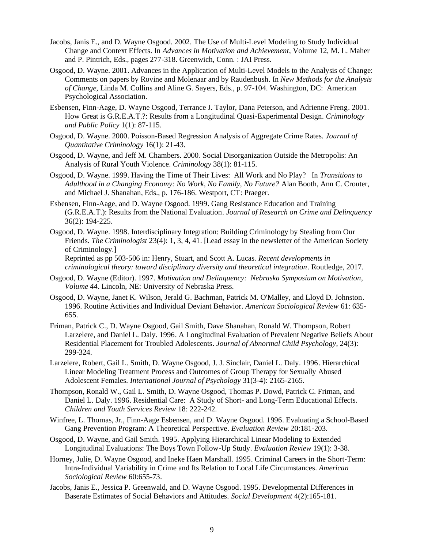- Jacobs, Janis E., and D. Wayne Osgood. 2002. The Use of Multi-Level Modeling to Study Individual Change and Context Effects. In *Advances in Motivation and Achievement*, Volume 12, M. L. Maher and P. Pintrich, Eds., pages 277-318. Greenwich, Conn. : JAI Press.
- Osgood, D. Wayne. 2001. Advances in the Application of Multi-Level Models to the Analysis of Change: Comments on papers by Rovine and Molenaar and by Raudenbush. In *New Methods for the Analysis of Change*, Linda M. Collins and Aline G. Sayers, Eds., p. 97-104. Washington, DC: American Psychological Association.
- Esbensen, Finn-Aage, D. Wayne Osgood, Terrance J. Taylor, Dana Peterson, and Adrienne Freng. 2001. How Great is G.R.E.A.T.?: Results from a Longitudinal Quasi-Experimental Design. *Criminology and Public Policy* 1(1): 87-115.
- Osgood, D. Wayne. 2000. Poisson-Based Regression Analysis of Aggregate Crime Rates. *Journal of Quantitative Criminology* 16(1): 21-43.
- Osgood, D. Wayne, and Jeff M. Chambers. 2000. Social Disorganization Outside the Metropolis: An Analysis of Rural Youth Violence. *Criminology* 38(1): 81-115.
- Osgood, D. Wayne. 1999. Having the Time of Their Lives: All Work and No Play? In *Transitions to Adulthood in a Changing Economy: No Work, No Family, No Future?* Alan Booth, Ann C. Crouter, and Michael J. Shanahan, Eds., p. 176-186. Westport, CT: Praeger.
- Esbensen, Finn-Aage, and D. Wayne Osgood. 1999. Gang Resistance Education and Training (G.R.E.A.T.): Results from the National Evaluation. *Journal of Research on Crime and Delinquency* 36(2): 194-225.
- Osgood, D. Wayne. 1998. Interdisciplinary Integration: Building Criminology by Stealing from Our Friends. *The Criminologist* 23(4): 1, 3, 4, 41. [Lead essay in the newsletter of the American Society of Criminology.]

Reprinted as pp 503-506 in: Henry, Stuart, and Scott A. Lucas. *Recent developments in criminological theory: toward disciplinary diversity and theoretical integration*. Routledge, 2017.

- Osgood, D. Wayne (Editor). 1997. *Motivation and Delinquency: Nebraska Symposium on Motivation, Volume 44*. Lincoln, NE: University of Nebraska Press.
- Osgood, D. Wayne, Janet K. Wilson, Jerald G. Bachman, Patrick M. O'Malley, and Lloyd D. Johnston. 1996. Routine Activities and Individual Deviant Behavior. *American Sociological Review* 61: 635- 655.
- Friman, Patrick C., D. Wayne Osgood, Gail Smith, Dave Shanahan, Ronald W. Thompson, Robert Larzelere, and Daniel L. Daly. 1996. A Longitudinal Evaluation of Prevalent Negative Beliefs About Residential Placement for Troubled Adolescents. *Journal of Abnormal Child Psychology*, 24(3): 299-324.
- Larzelere, Robert, Gail L. Smith, D. Wayne Osgood, J. J. Sinclair, Daniel L. Daly. 1996. Hierarchical Linear Modeling Treatment Process and Outcomes of Group Therapy for Sexually Abused Adolescent Females. *International Journal of Psychology* 31(3-4): 2165-2165.
- Thompson, Ronald W., Gail L. Smith, D. Wayne Osgood, Thomas P. Dowd, Patrick C. Friman, and Daniel L. Daly. 1996. Residential Care: A Study of Short- and Long-Term Educational Effects. *Children and Youth Services Review* 18: 222-242.
- Winfree, L. Thomas, Jr., Finn-Aage Esbensen, and D. Wayne Osgood. 1996. Evaluating a School-Based Gang Prevention Program: A Theoretical Perspective. *Evaluation Review* 20:181-203.
- Osgood, D. Wayne, and Gail Smith. 1995. Applying Hierarchical Linear Modeling to Extended Longitudinal Evaluations: The Boys Town Follow-Up Study. *Evaluation Review* 19(1): 3-38.
- Horney, Julie, D. Wayne Osgood, and Ineke Haen Marshall. 1995. Criminal Careers in the Short-Term: Intra-Individual Variability in Crime and Its Relation to Local Life Circumstances. *American Sociological Review* 60:655-73.
- Jacobs, Janis E., Jessica P. Greenwald, and D. Wayne Osgood. 1995. Developmental Differences in Baserate Estimates of Social Behaviors and Attitudes. *Social Development* 4(2):165-181.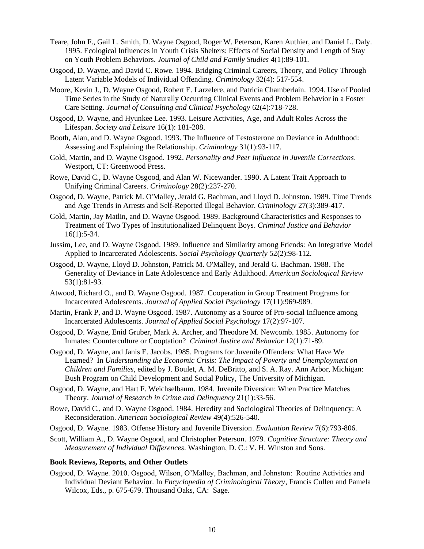- Teare, John F., Gail L. Smith, D. Wayne Osgood, Roger W. Peterson, Karen Authier, and Daniel L. Daly. 1995. Ecological Influences in Youth Crisis Shelters: Effects of Social Density and Length of Stay on Youth Problem Behaviors. *Journal of Child and Family Studies* 4(1):89-101.
- Osgood, D. Wayne, and David C. Rowe. 1994. Bridging Criminal Careers, Theory, and Policy Through Latent Variable Models of Individual Offending. *Criminology* 32(4): 517-554.
- Moore, Kevin J., D. Wayne Osgood, Robert E. Larzelere, and Patricia Chamberlain. 1994. Use of Pooled Time Series in the Study of Naturally Occurring Clinical Events and Problem Behavior in a Foster Care Setting. *Journal of Consulting and Clinical Psychology* 62(4):718-728.
- Osgood, D. Wayne, and Hyunkee Lee. 1993. Leisure Activities, Age, and Adult Roles Across the Lifespan. *Society and Leisure* 16(1): 181-208.
- Booth, Alan, and D. Wayne Osgood. 1993. The Influence of Testosterone on Deviance in Adulthood: Assessing and Explaining the Relationship. *Criminology* 31(1):93-117.
- Gold, Martin, and D. Wayne Osgood. 1992. *Personality and Peer Influence in Juvenile Corrections*. Westport, CT: Greenwood Press.
- Rowe, David C., D. Wayne Osgood, and Alan W. Nicewander. 1990. A Latent Trait Approach to Unifying Criminal Careers. *Criminology* 28(2):237-270.
- Osgood, D. Wayne, Patrick M. O'Malley, Jerald G. Bachman, and Lloyd D. Johnston. 1989. Time Trends and Age Trends in Arrests and Self-Reported Illegal Behavior. *Criminology* 27(3):389-417.
- Gold, Martin, Jay Matlin, and D. Wayne Osgood. 1989. Background Characteristics and Responses to Treatment of Two Types of Institutionalized Delinquent Boys. *Criminal Justice and Behavior* 16(1):5-34.
- Jussim, Lee, and D. Wayne Osgood. 1989. Influence and Similarity among Friends: An Integrative Model Applied to Incarcerated Adolescents. *Social Psychology Quarterly* 52(2):98-112.
- Osgood, D. Wayne, Lloyd D. Johnston, Patrick M. O'Malley, and Jerald G. Bachman. 1988. The Generality of Deviance in Late Adolescence and Early Adulthood. *American Sociological Review* 53(1):81-93.
- Atwood, Richard O., and D. Wayne Osgood. 1987. Cooperation in Group Treatment Programs for Incarcerated Adolescents. *Journal of Applied Social Psychology* 17(11):969-989.
- Martin, Frank P, and D. Wayne Osgood. 1987. Autonomy as a Source of Pro-social Influence among Incarcerated Adolescents. *Journal of Applied Social Psychology* 17(2):97-107.
- Osgood, D. Wayne, Enid Gruber, Mark A. Archer, and Theodore M. Newcomb. 1985. Autonomy for Inmates: Counterculture or Cooptation? *Criminal Justice and Behavior* 12(1):71-89.
- Osgood, D. Wayne, and Janis E. Jacobs. 1985. Programs for Juvenile Offenders: What Have We Learned? In *Understanding the Economic Crisis: The Impact of Poverty and Unemployment on Children and Families*, edited by J. Boulet, A. M. DeBritto, and S. A. Ray. Ann Arbor, Michigan: Bush Program on Child Development and Social Policy, The University of Michigan.
- Osgood, D. Wayne, and Hart F. Weichselbaum. 1984. Juvenile Diversion: When Practice Matches Theory. *Journal of Research in Crime and Delinquency* 21(1):33-56.
- Rowe, David C., and D. Wayne Osgood. 1984. Heredity and Sociological Theories of Delinquency: A Reconsideration. *American Sociological Review* 49(4):526-540.
- Osgood, D. Wayne. 1983. Offense History and Juvenile Diversion. *Evaluation Review* 7(6):793-806.
- Scott, William A., D. Wayne Osgood, and Christopher Peterson. 1979. *Cognitive Structure: Theory and Measurement of Individual Differences*. Washington, D. C.: V. H. Winston and Sons.

#### **Book Reviews, Reports, and Other Outlets**

Osgood, D. Wayne. 2010. Osgood, Wilson, O'Malley, Bachman, and Johnston: Routine Activities and Individual Deviant Behavior. In *Encyclopedia of Criminological Theory*, Francis Cullen and Pamela Wilcox, Eds., p. 675-679. Thousand Oaks, CA: Sage.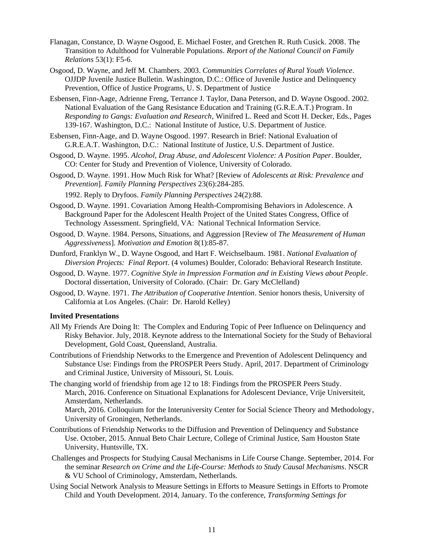- Flanagan, Constance, D. Wayne Osgood, E. Michael Foster, and Gretchen R. Ruth Cusick. 2008. The Transition to Adulthood for Vulnerable Populations. *Report of the National Council on Family Relations* 53(1): F5-6.
- Osgood, D. Wayne, and Jeff M. Chambers. 2003. *Communities Correlates of Rural Youth Violence*. OJJDP Juvenile Justice Bulletin. Washington, D.C.: Office of Juvenile Justice and Delinquency Prevention, Office of Justice Programs, U. S. Department of Justice
- Esbensen, Finn-Aage, Adrienne Freng, Terrance J. Taylor, Dana Peterson, and D. Wayne Osgood. 2002. National Evaluation of the Gang Resistance Education and Training (G.R.E.A.T.) Program. In *Responding to Gangs: Evaluation and Research*, Winifred L. Reed and Scott H. Decker, Eds., Pages 139-167. Washington, D.C.: National Institute of Justice, U.S. Department of Justice.
- Esbensen, Finn-Aage, and D. Wayne Osgood. 1997. Research in Brief: National Evaluation of G.R.E.A.T. Washington, D.C.: National Institute of Justice, U.S. Department of Justice.
- Osgood, D. Wayne. 1995. *Alcohol, Drug Abuse, and Adolescent Violence: A Position Paper*. Boulder, CO: Center for Study and Prevention of Violence, University of Colorado.
- Osgood, D. Wayne. 1991. How Much Risk for What? [Review of *Adolescents at Risk: Prevalence and Prevention*]. *Family Planning Perspectives* 23(6):284-285.
	- 1992. Reply to Dryfoos. *Family Planning Perspectives* 24(2):88.
- Osgood, D. Wayne. 1991. Covariation Among Health-Compromising Behaviors in Adolescence. A Background Paper for the Adolescent Health Project of the United States Congress, Office of Technology Assessment. Springfield, VA: National Technical Information Service.
- Osgood, D. Wayne. 1984. Persons, Situations, and Aggression [Review of *The Measurement of Human Aggressiveness*]. *Motivation and Emotion* 8(1):85-87.
- Dunford, Franklyn W., D. Wayne Osgood, and Hart F. Weichselbaum. 1981. *National Evaluation of Diversion Projects: Final Report*. (4 volumes) Boulder, Colorado: Behavioral Research Institute.
- Osgood, D. Wayne. 1977. *Cognitive Style in Impression Formation and in Existing Views about People*. Doctoral dissertation, University of Colorado. (Chair: Dr. Gary McClelland)
- Osgood, D. Wayne. 1971. *The Attribution of Cooperative Intention*. Senior honors thesis, University of California at Los Angeles. (Chair: Dr. Harold Kelley)

#### **Invited Presentations**

- All My Friends Are Doing It: The Complex and Enduring Topic of Peer Influence on Delinquency and Risky Behavior. July, 2018. Keynote address to the International Society for the Study of Behavioral Development, Gold Coast, Queensland, Australia.
- Contributions of Friendship Networks to the Emergence and Prevention of Adolescent Delinquency and Substance Use: Findings from the PROSPER Peers Study. April, 2017. Department of Criminology and Criminal Justice, University of Missouri, St. Louis.
- The changing world of friendship from age 12 to 18: Findings from the PROSPER Peers Study. March, 2016. Conference on Situational Explanations for Adolescent Deviance, Vrije Universiteit, Amsterdam, Netherlands.

March, 2016. Colloquium for the Interuniversity Center for Social Science Theory and Methodology, University of Groningen, Netherlands.

- Contributions of Friendship Networks to the Diffusion and Prevention of Delinquency and Substance Use. October, 2015. Annual Beto Chair Lecture, College of Criminal Justice, Sam Houston State University, Huntsville, TX.
- Challenges and Prospects for Studying Causal Mechanisms in Life Course Change. September, 2014. For the seminar *Research on Crime and the Life-Course: Methods to Study Causal Mechanisms*. NSCR & VU School of Criminology, Amsterdam, Netherlands.
- Using Social Network Analysis to Measure Settings in Efforts to Measure Settings in Efforts to Promote Child and Youth Development. 2014, January. To the conference, *Transforming Settings for*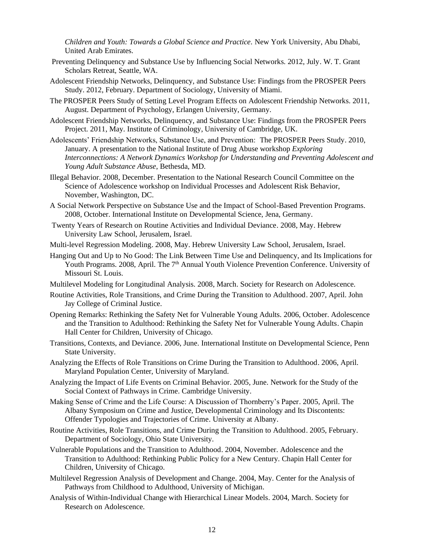*Children and Youth: Towards a Global Science and Practice.* New York University, Abu Dhabi, United Arab Emirates.

- Preventing Delinquency and Substance Use by Influencing Social Networks. 2012, July. W. T. Grant Scholars Retreat, Seattle, WA.
- Adolescent Friendship Networks, Delinquency, and Substance Use: Findings from the PROSPER Peers Study. 2012, February. Department of Sociology, University of Miami.
- The PROSPER Peers Study of Setting Level Program Effects on Adolescent Friendship Networks. 2011, August. Department of Psychology, Erlangen University, Germany.
- Adolescent Friendship Networks, Delinquency, and Substance Use: Findings from the PROSPER Peers Project. 2011, May. Institute of Criminology, University of Cambridge, UK.
- Adolescents' Friendship Networks, Substance Use, and Prevention: The PROSPER Peers Study. 2010, January. A presentation to the National Institute of Drug Abuse workshop *Exploring Interconnections: A Network Dynamics Workshop for Understanding and Preventing Adolescent and Young Adult Substance Abuse*, Bethesda, MD.
- Illegal Behavior. 2008, December. Presentation to the National Research Council Committee on the Science of Adolescence workshop on Individual Processes and Adolescent Risk Behavior, November, Washington, DC.
- A Social Network Perspective on Substance Use and the Impact of School-Based Prevention Programs. 2008, October. International Institute on Developmental Science, Jena, Germany.
- Twenty Years of Research on Routine Activities and Individual Deviance. 2008, May. Hebrew University Law School, Jerusalem, Israel.
- Multi-level Regression Modeling. 2008, May. Hebrew University Law School, Jerusalem, Israel.
- Hanging Out and Up to No Good: The Link Between Time Use and Delinquency, and Its Implications for Youth Programs. 2008, April. The 7<sup>th</sup> Annual Youth Violence Prevention Conference. University of Missouri St. Louis.
- Multilevel Modeling for Longitudinal Analysis. 2008, March. Society for Research on Adolescence.
- Routine Activities, Role Transitions, and Crime During the Transition to Adulthood. 2007, April. John Jay College of Criminal Justice.
- Opening Remarks: Rethinking the Safety Net for Vulnerable Young Adults. 2006, October. Adolescence and the Transition to Adulthood: Rethinking the Safety Net for Vulnerable Young Adults. Chapin Hall Center for Children, University of Chicago.
- Transitions, Contexts, and Deviance. 2006, June. International Institute on Developmental Science, Penn State University.
- Analyzing the Effects of Role Transitions on Crime During the Transition to Adulthood. 2006, April. Maryland Population Center, University of Maryland.
- Analyzing the Impact of Life Events on Criminal Behavior. 2005, June. Network for the Study of the Social Context of Pathways in Crime. Cambridge University.
- Making Sense of Crime and the Life Course: A Discussion of Thornberry's Paper. 2005, April. The Albany Symposium on Crime and Justice, Developmental Criminology and Its Discontents: Offender Typologies and Trajectories of Crime. University at Albany.
- Routine Activities, Role Transitions, and Crime During the Transition to Adulthood. 2005, February. Department of Sociology, Ohio State University.
- Vulnerable Populations and the Transition to Adulthood. 2004, November. Adolescence and the Transition to Adulthood: Rethinking Public Policy for a New Century. Chapin Hall Center for Children, University of Chicago.
- Multilevel Regression Analysis of Development and Change. 2004, May. Center for the Analysis of Pathways from Childhood to Adulthood, University of Michigan.
- Analysis of Within-Individual Change with Hierarchical Linear Models. 2004, March. Society for Research on Adolescence.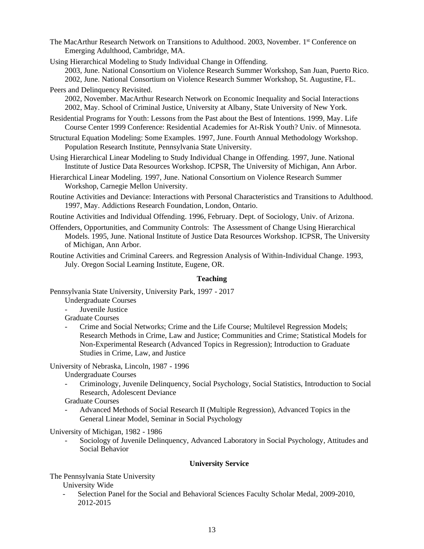The MacArthur Research Network on Transitions to Adulthood. 2003, November. 1 st Conference on Emerging Adulthood, Cambridge, MA.

Using Hierarchical Modeling to Study Individual Change in Offending.

2003, June. National Consortium on Violence Research Summer Workshop, San Juan, Puerto Rico.

- 2002, June. National Consortium on Violence Research Summer Workshop, St. Augustine, FL.
- Peers and Delinquency Revisited.

2002, November. MacArthur Research Network on Economic Inequality and Social Interactions 2002, May. School of Criminal Justice, University at Albany, State University of New York.

- Residential Programs for Youth: Lessons from the Past about the Best of Intentions. 1999, May. Life Course Center 1999 Conference: Residential Academies for At-Risk Youth? Univ. of Minnesota.
- Structural Equation Modeling: Some Examples. 1997, June. Fourth Annual Methodology Workshop. Population Research Institute, Pennsylvania State University.
- Using Hierarchical Linear Modeling to Study Individual Change in Offending. 1997, June. National Institute of Justice Data Resources Workshop. ICPSR, The University of Michigan, Ann Arbor.
- Hierarchical Linear Modeling. 1997, June. National Consortium on Violence Research Summer Workshop, Carnegie Mellon University.
- Routine Activities and Deviance: Interactions with Personal Characteristics and Transitions to Adulthood. 1997, May. Addictions Research Foundation, London, Ontario.
- Routine Activities and Individual Offending. 1996, February. Dept. of Sociology, Univ. of Arizona.
- Offenders, Opportunities, and Community Controls: The Assessment of Change Using Hierarchical Models. 1995, June. National Institute of Justice Data Resources Workshop. ICPSR, The University of Michigan, Ann Arbor.
- Routine Activities and Criminal Careers. and Regression Analysis of Within-Individual Change. 1993, July. Oregon Social Learning Institute, Eugene, OR.

## **Teaching**

Pennsylvania State University, University Park, 1997 - 2017

- Undergraduate Courses
- Juvenile Justice
- Graduate Courses
- Crime and Social Networks; Crime and the Life Course; Multilevel Regression Models; Research Methods in Crime, Law and Justice; Communities and Crime; Statistical Models for Non-Experimental Research (Advanced Topics in Regression); Introduction to Graduate Studies in Crime, Law, and Justice

University of Nebraska, Lincoln, 1987 - 1996

- Undergraduate Courses
- Criminology, Juvenile Delinquency, Social Psychology, Social Statistics, Introduction to Social Research, Adolescent Deviance

Graduate Courses

- Advanced Methods of Social Research II (Multiple Regression), Advanced Topics in the General Linear Model, Seminar in Social Psychology

University of Michigan, 1982 - 1986

- Sociology of Juvenile Delinquency, Advanced Laboratory in Social Psychology, Attitudes and Social Behavior

## **University Service**

The Pennsylvania State University

University Wide

- Selection Panel for the Social and Behavioral Sciences Faculty Scholar Medal, 2009-2010, 2012-2015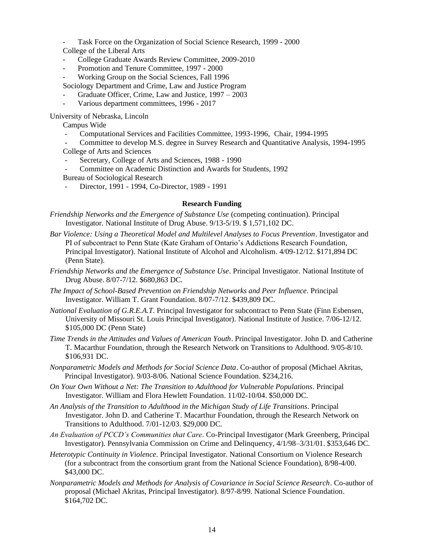Task Force on the Organization of Social Science Research, 1999 - 2000 College of the Liberal Arts

- College Graduate Awards Review Committee, 2009-2010
- Promotion and Tenure Committee, 1997 2000
- Working Group on the Social Sciences, Fall 1996

Sociology Department and Crime, Law and Justice Program

- Graduate Officer, Crime, Law and Justice, 1997 2003
- Various department committees, 1996 2017

University of Nebraska, Lincoln

Campus Wide

- Computational Services and Facilities Committee, 1993-1996, Chair, 1994-1995

- Committee to develop M.S. degree in Survey Research and Quantitative Analysis, 1994-1995 College of Arts and Sciences

- Secretary, College of Arts and Sciences, 1988 1990
- Committee on Academic Distinction and Awards for Students, 1992

Bureau of Sociological Research

- Director, 1991 - 1994, Co-Director, 1989 - 1991

#### **Research Funding**

*Friendship Networks and the Emergence of Substance Use* (competing continuation). Principal Investigator. National Institute of Drug Abuse. 9/13-5/19. \$ 1,571,102 DC.

- *Bar Violence: Using a Theoretical Model and Multilevel Analyses to Focus Prevention*. Investigator and PI of subcontract to Penn State (Kate Graham of Ontario's Addictions Research Foundation, Principal Investigator). National Institute of Alcohol and Alcoholism. 4/09-12/12. \$171,894 DC (Penn State).
- *Friendship Networks and the Emergence of Substance Use*. Principal Investigator. National Institute of Drug Abuse. 8/07-7/12. \$680,863 DC.
- *The Impact of School-Based Prevention on Friendship Networks and Peer Influence*. Principal Investigator. William T. Grant Foundation. 8/07-7/12. \$439,809 DC.
- *National Evaluation of G.R.E.A.T.* Principal Investigator for subcontract to Penn State (Finn Esbensen, University of Missouri St. Louis Principal Investigator). National Institute of Justice. 7/06-12/12. \$105,000 DC (Penn State)
- *Time Trends in the Attitudes and Values of American Youth*. Principal Investigator. John D. and Catherine T. Macarthur Foundation, through the Research Network on Transitions to Adulthood. 9/05-8/10. \$106,931 DC.
- *Nonparametric Models and Methods for Social Science Data*. Co-author of proposal (Michael Akritas, Principal Investigator). 9/03-8/06. National Science Foundation. \$234,216.
- *On Your Own Without a Net: The Transition to Adulthood for Vulnerable Populations.* Principal Investigator. William and Flora Hewlett Foundation. 11/02-10/04. \$50,000 DC.
- *An Analysis of the Transition to Adulthood in the Michigan Study of Life Transitions*. Principal Investigator. John D. and Catherine T. Macarthur Foundation, through the Research Network on Transitions to Adulthood. 7/01-12/03. \$29,000 DC.
- *An Evaluation of PCCD's Communities that Care*. Co-Principal Investigator (Mark Greenberg, Principal Investigator). Pennsylvania Commission on Crime and Delinquency, 4/1/98–3/31/01. \$353,646 DC.
- *Heterotypic Continuity in Violence*. Principal Investigator. National Consortium on Violence Research (for a subcontract from the consortium grant from the National Science Foundation), 8/98-4/00. \$43,000 DC.
- *Nonparametric Models and Methods for Analysis of Covariance in Social Science Research*. Co-author of proposal (Michael Akritas, Principal Investigator). 8/97-8/99. National Science Foundation. \$164,702 DC.